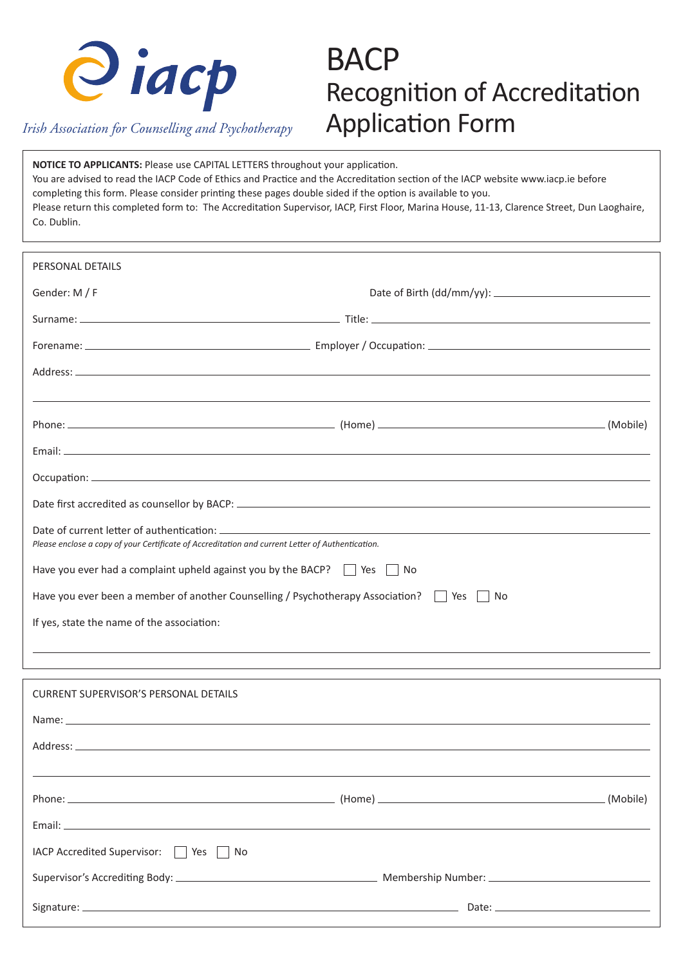

## BACP Recognition of Accreditation *Diach*<br>*Irish Association for Counselling and Psychotherapy* Application Form

**NOTICE TO APPLICANTS:** Please use CAPITAL LETTERS throughout your application. You are advised to read the IACP Code of Ethics and Practice and the Accreditation section of the IACP website www.iacp.ie before completing this form. Please consider printing these pages double sided if the option is available to you. Please return this completed form to: The Accreditation Supervisor, IACP, First Floor, Marina House, 11-13, Clarence Street, Dun Laoghaire, Co. Dublin.

| PERSONAL DETAILS                                                                                                                |  |  |
|---------------------------------------------------------------------------------------------------------------------------------|--|--|
| Gender: M / F                                                                                                                   |  |  |
|                                                                                                                                 |  |  |
|                                                                                                                                 |  |  |
|                                                                                                                                 |  |  |
|                                                                                                                                 |  |  |
| Phone: (Mobile) (Mobile)                                                                                                        |  |  |
|                                                                                                                                 |  |  |
|                                                                                                                                 |  |  |
|                                                                                                                                 |  |  |
| Date of current letter of authentication: Date of the state of authentication of the state of current letter of authentication: |  |  |
| Please enclose a copy of your Certificate of Accreditation and current Letter of Authentication.                                |  |  |
| Have you ever had a complaint upheld against you by the BACP? $\Box$ Yes<br>No                                                  |  |  |
| Have you ever been a member of another Counselling / Psychotherapy Association?     Yes<br>- I No                               |  |  |
| If yes, state the name of the association:                                                                                      |  |  |
|                                                                                                                                 |  |  |
| <b>CURRENT SUPERVISOR'S PERSONAL DETAILS</b>                                                                                    |  |  |
|                                                                                                                                 |  |  |
|                                                                                                                                 |  |  |
|                                                                                                                                 |  |  |
|                                                                                                                                 |  |  |
|                                                                                                                                 |  |  |
| IACP Accredited Supervisor: $\Box$ Yes<br>No<br>$\blacksquare$                                                                  |  |  |
|                                                                                                                                 |  |  |
|                                                                                                                                 |  |  |